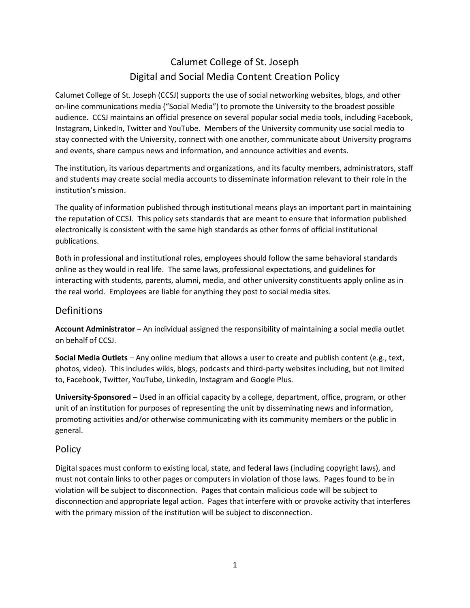# Calumet College of St. Joseph Digital and Social Media Content Creation Policy

Calumet College of St. Joseph (CCSJ) supports the use of social networking websites, blogs, and other on-line communications media ("Social Media") to promote the University to the broadest possible audience. CCSJ maintains an official presence on several popular social media tools, including Facebook, Instagram, LinkedIn, Twitter and YouTube. Members of the University community use social media to stay connected with the University, connect with one another, communicate about University programs and events, share campus news and information, and announce activities and events.

The institution, its various departments and organizations, and its faculty members, administrators, staff and students may create social media accounts to disseminate information relevant to their role in the institution's mission.

The quality of information published through institutional means plays an important part in maintaining the reputation of CCSJ. This policy sets standards that are meant to ensure that information published electronically is consistent with the same high standards as other forms of official institutional publications.

Both in professional and institutional roles, employees should follow the same behavioral standards online as they would in real life. The same laws, professional expectations, and guidelines for interacting with students, parents, alumni, media, and other university constituents apply online as in the real world. Employees are liable for anything they post to social media sites.

## Definitions

**Account Administrator** – An individual assigned the responsibility of maintaining a social media outlet on behalf of CCSJ.

**Social Media Outlets** – Any online medium that allows a user to create and publish content (e.g., text, photos, video). This includes wikis, blogs, podcasts and third-party websites including, but not limited to, Facebook, Twitter, YouTube, LinkedIn, Instagram and Google Plus.

**University-Sponsored –** Used in an official capacity by a college, department, office, program, or other unit of an institution for purposes of representing the unit by disseminating news and information, promoting activities and/or otherwise communicating with its community members or the public in general.

#### Policy

Digital spaces must conform to existing local, state, and federal laws (including copyright laws), and must not contain links to other pages or computers in violation of those laws. Pages found to be in violation will be subject to disconnection. Pages that contain malicious code will be subject to disconnection and appropriate legal action. Pages that interfere with or provoke activity that interferes with the primary mission of the institution will be subject to disconnection.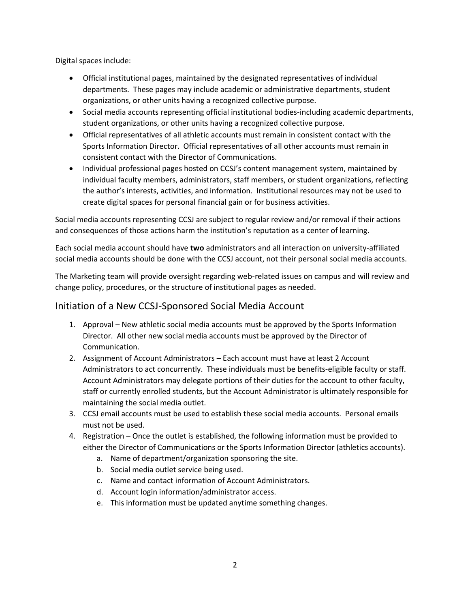Digital spaces include:

- Official institutional pages, maintained by the designated representatives of individual departments. These pages may include academic or administrative departments, student organizations, or other units having a recognized collective purpose.
- Social media accounts representing official institutional bodies-including academic departments, student organizations, or other units having a recognized collective purpose.
- Official representatives of all athletic accounts must remain in consistent contact with the Sports Information Director. Official representatives of all other accounts must remain in consistent contact with the Director of Communications.
- Individual professional pages hosted on CCSJ's content management system, maintained by individual faculty members, administrators, staff members, or student organizations, reflecting the author's interests, activities, and information. Institutional resources may not be used to create digital spaces for personal financial gain or for business activities.

Social media accounts representing CCSJ are subject to regular review and/or removal if their actions and consequences of those actions harm the institution's reputation as a center of learning.

Each social media account should have **two** administrators and all interaction on university-affiliated social media accounts should be done with the CCSJ account, not their personal social media accounts.

The Marketing team will provide oversight regarding web-related issues on campus and will review and change policy, procedures, or the structure of institutional pages as needed.

#### Initiation of a New CCSJ-Sponsored Social Media Account

- 1. Approval New athletic social media accounts must be approved by the Sports Information Director. All other new social media accounts must be approved by the Director of Communication.
- 2. Assignment of Account Administrators Each account must have at least 2 Account Administrators to act concurrently. These individuals must be benefits-eligible faculty or staff. Account Administrators may delegate portions of their duties for the account to other faculty, staff or currently enrolled students, but the Account Administrator is ultimately responsible for maintaining the social media outlet.
- 3. CCSJ email accounts must be used to establish these social media accounts. Personal emails must not be used.
- 4. Registration Once the outlet is established, the following information must be provided to either the Director of Communications or the Sports Information Director (athletics accounts).
	- a. Name of department/organization sponsoring the site.
	- b. Social media outlet service being used.
	- c. Name and contact information of Account Administrators.
	- d. Account login information/administrator access.
	- e. This information must be updated anytime something changes.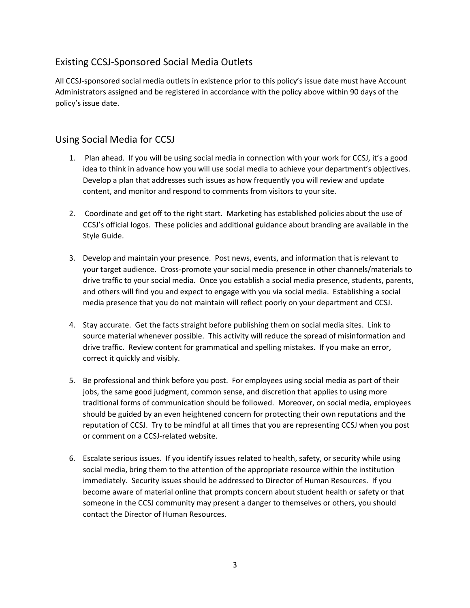# Existing CCSJ-Sponsored Social Media Outlets

All CCSJ-sponsored social media outlets in existence prior to this policy's issue date must have Account Administrators assigned and be registered in accordance with the policy above within 90 days of the policy's issue date.

### Using Social Media for CCSJ

- 1. Plan ahead. If you will be using social media in connection with your work for CCSJ, it's a good idea to think in advance how you will use social media to achieve your department's objectives. Develop a plan that addresses such issues as how frequently you will review and update content, and monitor and respond to comments from visitors to your site.
- 2. Coordinate and get off to the right start. Marketing has established policies about the use of CCSJ's official logos. These policies and additional guidance about branding are available in the Style Guide.
- 3. Develop and maintain your presence. Post news, events, and information that is relevant to your target audience. Cross-promote your social media presence in other channels/materials to drive traffic to your social media. Once you establish a social media presence, students, parents, and others will find you and expect to engage with you via social media. Establishing a social media presence that you do not maintain will reflect poorly on your department and CCSJ.
- 4. Stay accurate. Get the facts straight before publishing them on social media sites. Link to source material whenever possible. This activity will reduce the spread of misinformation and drive traffic. Review content for grammatical and spelling mistakes. If you make an error, correct it quickly and visibly.
- 5. Be professional and think before you post. For employees using social media as part of their jobs, the same good judgment, common sense, and discretion that applies to using more traditional forms of communication should be followed. Moreover, on social media, employees should be guided by an even heightened concern for protecting their own reputations and the reputation of CCSJ. Try to be mindful at all times that you are representing CCSJ when you post or comment on a CCSJ-related website.
- 6. Escalate serious issues. If you identify issues related to health, safety, or security while using social media, bring them to the attention of the appropriate resource within the institution immediately. Security issues should be addressed to Director of Human Resources. If you become aware of material online that prompts concern about student health or safety or that someone in the CCSJ community may present a danger to themselves or others, you should contact the Director of Human Resources.